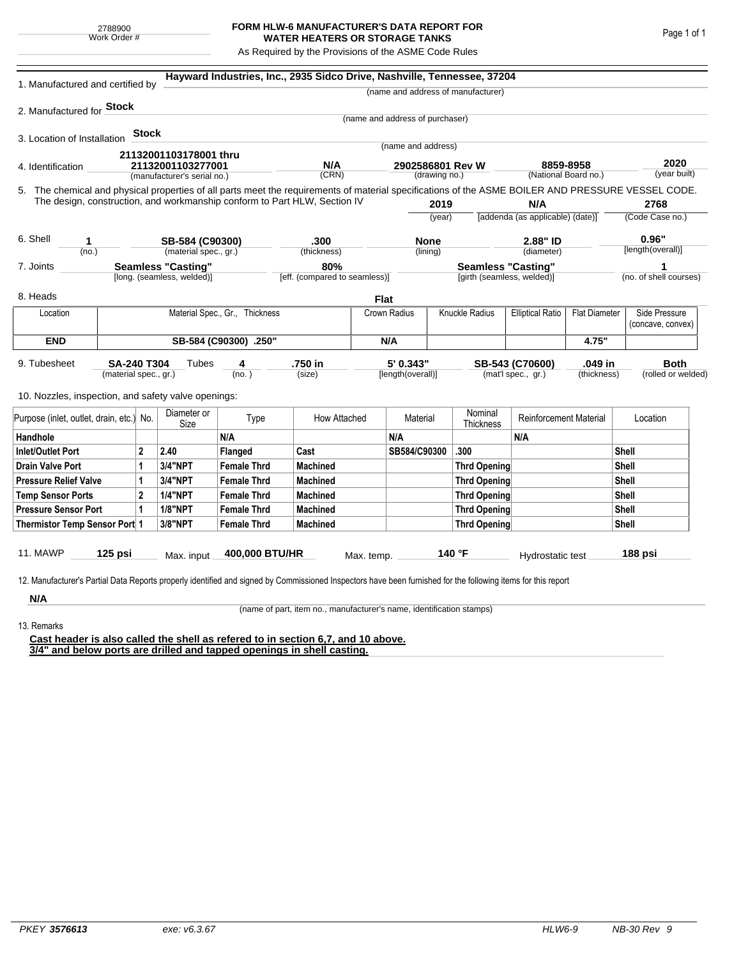## **FORM HLW-6 MANUFACTURER'S DATA REPORT FOR WATER HEATERS OR STORAGE TANKS**

As Required by the Provisions of the ASME Code Rules

| 1. Manufactured and certified by                                                                                                                              |                                                         |              |                                                  |                    | Hayward Industries, Inc., 2935 Sidco Drive, Nashville, Tennessee, 37204 |            |                                   |                                                         |                                    |                                   |                      |                            |                                    |
|---------------------------------------------------------------------------------------------------------------------------------------------------------------|---------------------------------------------------------|--------------|--------------------------------------------------|--------------------|-------------------------------------------------------------------------|------------|-----------------------------------|---------------------------------------------------------|------------------------------------|-----------------------------------|----------------------|----------------------------|------------------------------------|
|                                                                                                                                                               |                                                         |              |                                                  |                    |                                                                         |            |                                   |                                                         | (name and address of manufacturer) |                                   |                      |                            |                                    |
| 2. Manufactured for <b>Stock</b>                                                                                                                              |                                                         |              |                                                  |                    |                                                                         |            |                                   |                                                         |                                    |                                   |                      |                            |                                    |
|                                                                                                                                                               |                                                         |              |                                                  |                    |                                                                         |            | (name and address of purchaser)   |                                                         |                                    |                                   |                      |                            |                                    |
| 3. Location of Installation                                                                                                                                   |                                                         | <b>Stock</b> |                                                  |                    |                                                                         |            | (name and address)                |                                                         |                                    |                                   |                      |                            |                                    |
|                                                                                                                                                               |                                                         |              | 21132001103178001 thru                           |                    |                                                                         |            |                                   |                                                         |                                    |                                   |                      |                            |                                    |
| 4. Identification                                                                                                                                             |                                                         |              | 21132001103277001<br>(manufacturer's serial no.) |                    | N/A<br>(CRN)                                                            |            | 2902586801 Rev W<br>(drawing no.) |                                                         |                                    | 8859-8958<br>(National Board no.) |                      | 2020<br>(year built)       |                                    |
| 5. The chemical and physical properties of all parts meet the requirements of material specifications of the ASME BOILER AND PRESSURE VESSEL CODE.            |                                                         |              |                                                  |                    |                                                                         |            |                                   |                                                         |                                    |                                   |                      |                            |                                    |
| The design, construction, and workmanship conform to Part HLW, Section IV                                                                                     |                                                         |              |                                                  |                    |                                                                         |            |                                   | 2019                                                    |                                    | N/A                               |                      |                            | 2768                               |
|                                                                                                                                                               |                                                         |              |                                                  |                    |                                                                         |            | (year)                            |                                                         |                                    | [addenda (as applicable) (date)]  |                      | (Code Case no.)            |                                    |
|                                                                                                                                                               |                                                         |              |                                                  |                    |                                                                         |            |                                   |                                                         |                                    |                                   |                      |                            |                                    |
| 6. Shell<br>1                                                                                                                                                 |                                                         |              | SB-584 (C90300)<br>(material spec., gr.)         |                    | .300                                                                    |            | <b>None</b><br>(lining)           |                                                         |                                    | 2.88" ID                          |                      | 0.96"<br>[length(overall)] |                                    |
| (no.)                                                                                                                                                         |                                                         |              |                                                  |                    | (thickness)<br>80%                                                      |            |                                   |                                                         |                                    | (diameter)                        |                      |                            |                                    |
| 7. Joints                                                                                                                                                     | <b>Seamless "Casting"</b><br>[long. (seamless, welded)] |              |                                                  |                    | [eff. (compared to seamless)]                                           |            |                                   | <b>Seamless "Casting"</b><br>[girth (seamless, welded)] |                                    |                                   |                      | (no. of shell courses)     |                                    |
| 8. Heads                                                                                                                                                      |                                                         |              |                                                  |                    |                                                                         |            | <b>Flat</b>                       |                                                         |                                    |                                   |                      |                            |                                    |
| Location                                                                                                                                                      | Material Spec., Gr., Thickness                          |              |                                                  |                    |                                                                         |            | Knuckle Radius<br>Crown Radius    |                                                         |                                    | <b>Elliptical Ratio</b>           | <b>Flat Diameter</b> |                            | Side Pressure<br>(concave, convex) |
| <b>END</b>                                                                                                                                                    | SB-584 (C90300) .250"                                   |              |                                                  |                    |                                                                         |            | N/A                               |                                                         |                                    |                                   | 4.75"                |                            |                                    |
| 9. Tubesheet                                                                                                                                                  | <b>SA-240 T304</b>                                      |              | Tubes                                            | 4                  | .750 in                                                                 |            | 5' 0.343"                         |                                                         |                                    | SB-543 (C70600)                   | .049 in              |                            | <b>Both</b>                        |
|                                                                                                                                                               | (material spec., gr.)                                   |              |                                                  | (no. )             | (size)                                                                  |            | [length(overall)]                 |                                                         |                                    | (mat'l spec., gr.)                | (thickness)          |                            | (rolled or welded)                 |
| 10. Nozzles, inspection, and safety valve openings:                                                                                                           |                                                         |              |                                                  |                    |                                                                         |            |                                   |                                                         |                                    |                                   |                      |                            |                                    |
| Purpose (inlet, outlet, drain, etc.) No.                                                                                                                      |                                                         |              | Diameter or<br>Size                              | Type               | How Attached                                                            |            | Material                          |                                                         | Nominal<br>Thickness               | <b>Reinforcement Material</b>     |                      |                            | Location                           |
| Handhole                                                                                                                                                      |                                                         |              |                                                  | N/A                |                                                                         |            | N/A                               |                                                         |                                    | N/A                               |                      |                            |                                    |
| <b>Inlet/Outlet Port</b><br>$\mathbf{2}$                                                                                                                      |                                                         |              | 2.40                                             | Flanged            | Cast                                                                    |            | SB584/C90300                      |                                                         | .300                               |                                   |                      | Shell                      |                                    |
| <b>Drain Valve Port</b><br>1                                                                                                                                  |                                                         |              | 3/4"NPT                                          | <b>Female Thrd</b> | <b>Machined</b>                                                         |            |                                   |                                                         | <b>Thrd Opening</b>                |                                   |                      | Shell                      |                                    |
| <b>Pressure Relief Valve</b>                                                                                                                                  |                                                         | 1            | 3/4"NPT                                          | <b>Female Thrd</b> | <b>Machined</b>                                                         |            |                                   |                                                         | <b>Thrd Opening</b>                |                                   |                      | Shell                      |                                    |
| $\overline{2}$<br><b>Temp Sensor Ports</b>                                                                                                                    |                                                         |              | <b>1/4"NPT</b>                                   | <b>Female Thrd</b> | <b>Machined</b>                                                         |            |                                   |                                                         | <b>Thrd Opening</b>                |                                   | Shell                |                            |                                    |
| <b>Pressure Sensor Port</b><br>1                                                                                                                              |                                                         |              | <b>1/8"NPT</b>                                   | <b>Female Thrd</b> | <b>Machined</b>                                                         |            |                                   |                                                         | <b>Thrd Opening</b>                |                                   |                      | Shell                      |                                    |
| Thermistor Temp Sensor Port 1                                                                                                                                 |                                                         |              | 3/8"NPT                                          | <b>Female Thrd</b> | <b>Machined</b>                                                         |            |                                   |                                                         | Thrd Opening                       |                                   |                      | Shell                      |                                    |
| 11. MAWP                                                                                                                                                      | $125$ psi                                               |              | Max. input                                       | 400,000 BTU/HR     |                                                                         | Max. temp. |                                   |                                                         | 140 °F                             | Hydrostatic test                  |                      |                            | 188 psi                            |
|                                                                                                                                                               |                                                         |              |                                                  |                    |                                                                         |            |                                   |                                                         |                                    |                                   |                      |                            |                                    |
| 12. Manufacturer's Partial Data Reports properly identified and signed by Commissioned Inspectors have been furnished for the following items for this report |                                                         |              |                                                  |                    |                                                                         |            |                                   |                                                         |                                    |                                   |                      |                            |                                    |
| N/A                                                                                                                                                           |                                                         |              |                                                  |                    |                                                                         |            |                                   |                                                         |                                    |                                   |                      |                            |                                    |

(name of part, item no., manufacturer's name, identification stamps)

13. Remarks

**Cast header is also called the shell as refered to in section 6,7, and 10 above. 3/4" and below ports are drilled and tapped openings in shell casting.**